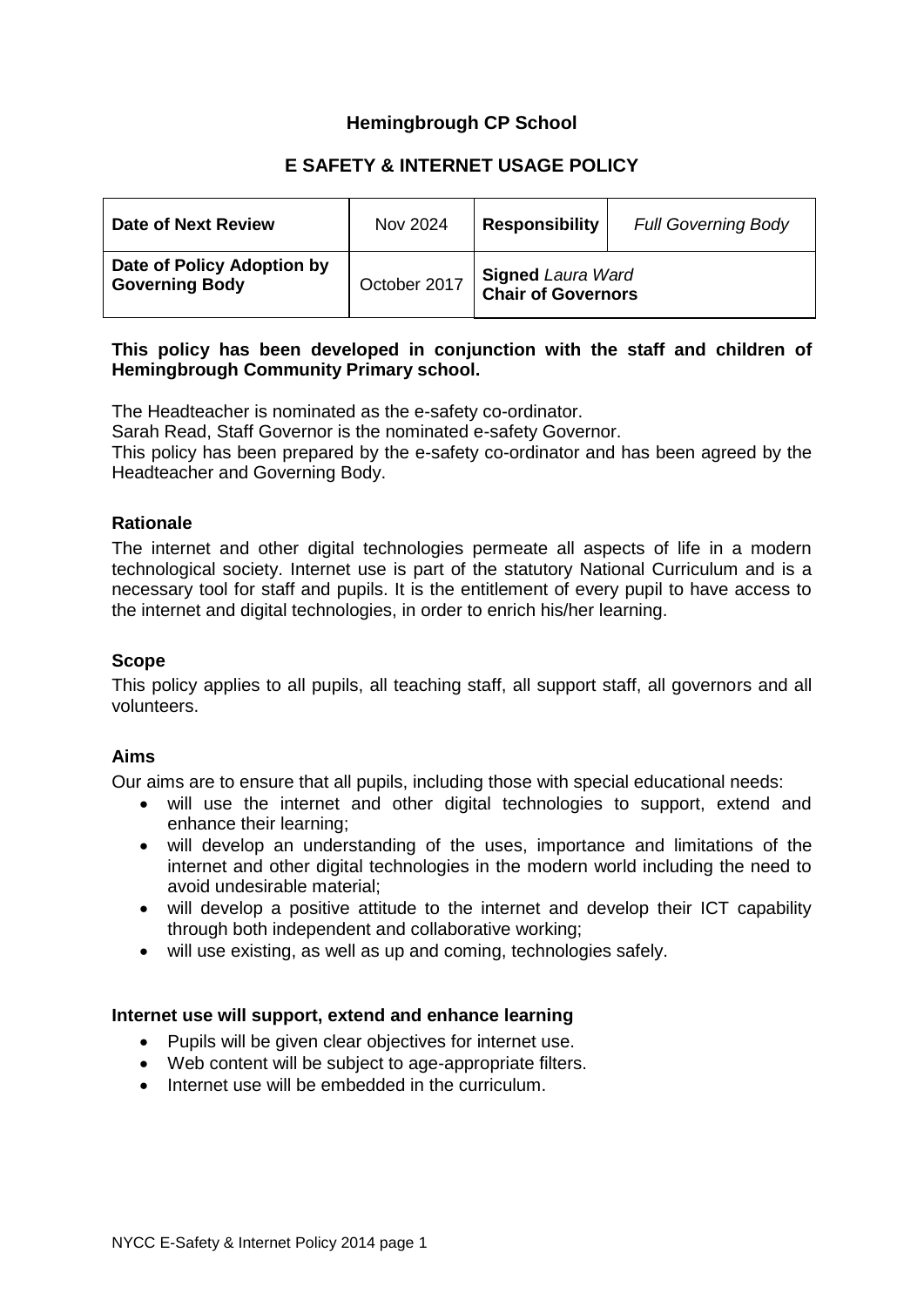# **Hemingbrough CP School**

# **E SAFETY & INTERNET USAGE POLICY**

| Date of Next Review                                 | Nov 2024     | <b>Responsibility</b>                                 | <b>Full Governing Body</b> |
|-----------------------------------------------------|--------------|-------------------------------------------------------|----------------------------|
| Date of Policy Adoption by<br><b>Governing Body</b> | October 2017 | <b>Signed Laura Ward</b><br><b>Chair of Governors</b> |                            |

### **This policy has been developed in conjunction with the staff and children of Hemingbrough Community Primary school.**

The Headteacher is nominated as the e-safety co-ordinator.

Sarah Read, Staff Governor is the nominated e-safety Governor.

This policy has been prepared by the e-safety co-ordinator and has been agreed by the Headteacher and Governing Body.

### **Rationale**

The internet and other digital technologies permeate all aspects of life in a modern technological society. Internet use is part of the statutory National Curriculum and is a necessary tool for staff and pupils. It is the entitlement of every pupil to have access to the internet and digital technologies, in order to enrich his/her learning.

### **Scope**

This policy applies to all pupils, all teaching staff, all support staff, all governors and all volunteers.

# **Aims**

Our aims are to ensure that all pupils, including those with special educational needs:

- will use the internet and other digital technologies to support, extend and enhance their learning;
- will develop an understanding of the uses, importance and limitations of the internet and other digital technologies in the modern world including the need to avoid undesirable material;
- will develop a positive attitude to the internet and develop their ICT capability through both independent and collaborative working;
- will use existing, as well as up and coming, technologies safely.

### **Internet use will support, extend and enhance learning**

- Pupils will be given clear objectives for internet use.
- Web content will be subject to age-appropriate filters.
- Internet use will be embedded in the curriculum.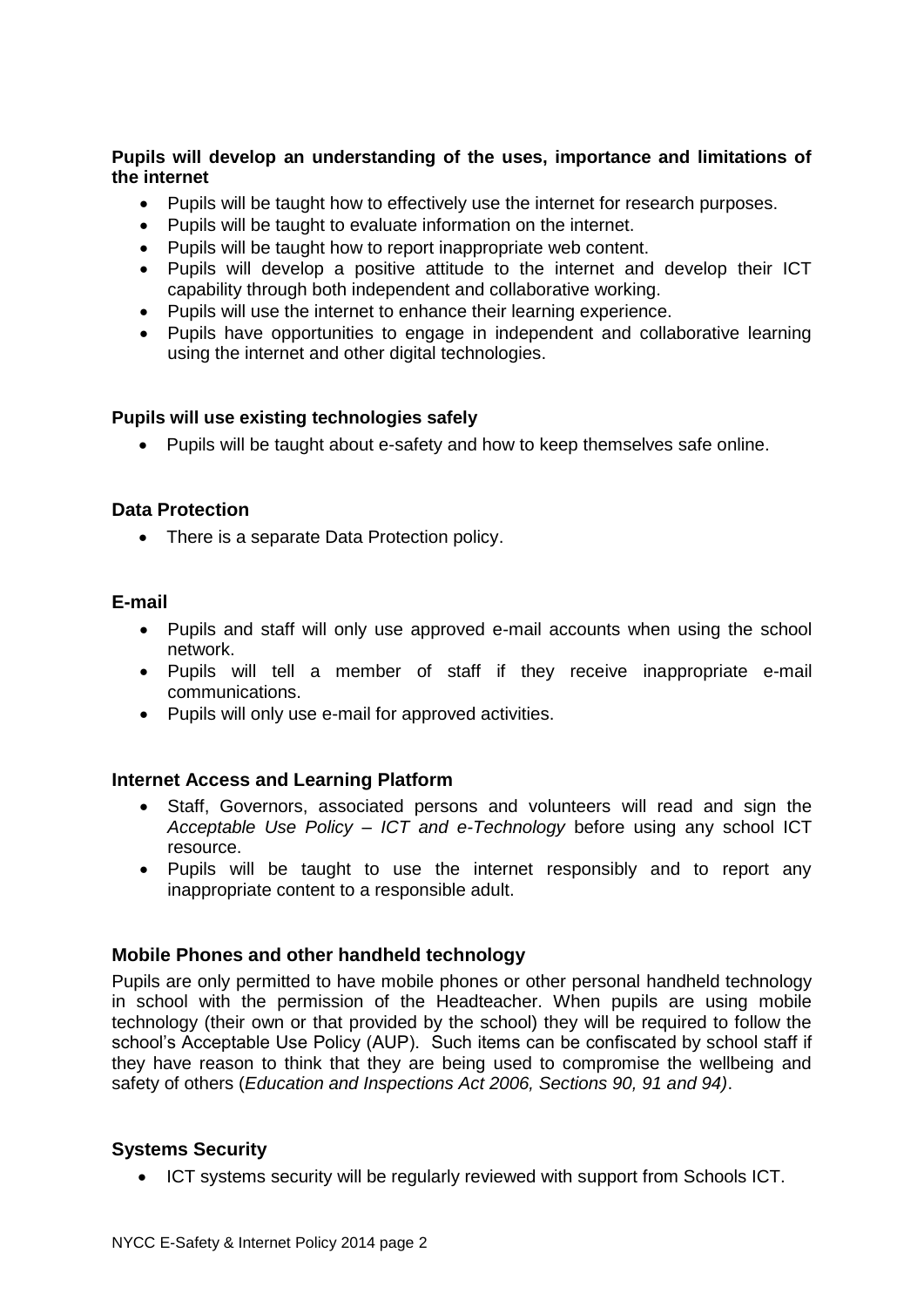# **Pupils will develop an understanding of the uses, importance and limitations of the internet**

- Pupils will be taught how to effectively use the internet for research purposes.
- Pupils will be taught to evaluate information on the internet.
- Pupils will be taught how to report inappropriate web content.
- Pupils will develop a positive attitude to the internet and develop their ICT capability through both independent and collaborative working.
- Pupils will use the internet to enhance their learning experience.
- Pupils have opportunities to engage in independent and collaborative learning using the internet and other digital technologies.

### **Pupils will use existing technologies safely**

• Pupils will be taught about e-safety and how to keep themselves safe online.

### **Data Protection**

• There is a separate Data Protection policy.

### **E-mail**

- Pupils and staff will only use approved e-mail accounts when using the school network.
- Pupils will tell a member of staff if they receive inappropriate e-mail communications.
- Pupils will only use e-mail for approved activities.

# **Internet Access and Learning Platform**

- Staff, Governors, associated persons and volunteers will read and sign the *Acceptable Use Policy – ICT and e-Technology* before using any school ICT resource.
- Pupils will be taught to use the internet responsibly and to report any inappropriate content to a responsible adult.

# **Mobile Phones and other handheld technology**

Pupils are only permitted to have mobile phones or other personal handheld technology in school with the permission of the Headteacher. When pupils are using mobile technology (their own or that provided by the school) they will be required to follow the school's Acceptable Use Policy (AUP). Such items can be confiscated by school staff if they have reason to think that they are being used to compromise the wellbeing and safety of others (*Education and Inspections Act 2006, Sections 90, 91 and 94)*.

# **Systems Security**

• ICT systems security will be regularly reviewed with support from Schools ICT.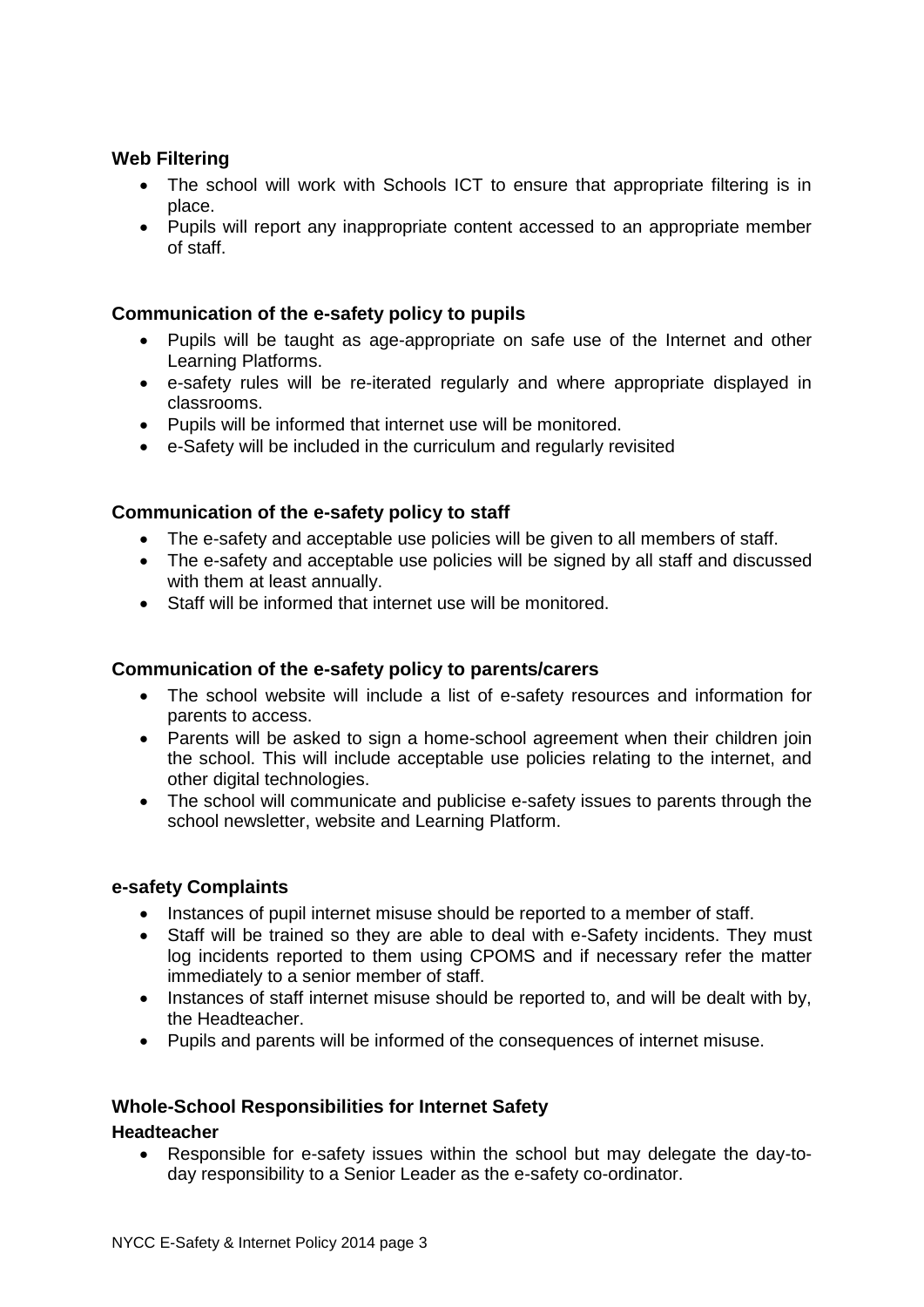## **Web Filtering**

- The school will work with Schools ICT to ensure that appropriate filtering is in place.
- Pupils will report any inappropriate content accessed to an appropriate member of staff.

### **Communication of the e-safety policy to pupils**

- Pupils will be taught as age-appropriate on safe use of the Internet and other Learning Platforms.
- e-safety rules will be re-iterated regularly and where appropriate displayed in classrooms.
- Pupils will be informed that internet use will be monitored.
- e-Safety will be included in the curriculum and regularly revisited

### **Communication of the e-safety policy to staff**

- The e-safety and acceptable use policies will be given to all members of staff.
- The e-safety and acceptable use policies will be signed by all staff and discussed with them at least annually.
- Staff will be informed that internet use will be monitored.

### **Communication of the e-safety policy to parents/carers**

- The school website will include a list of e-safety resources and information for parents to access.
- Parents will be asked to sign a home-school agreement when their children join the school. This will include acceptable use policies relating to the internet, and other digital technologies.
- The school will communicate and publicise e-safety issues to parents through the school newsletter, website and Learning Platform.

### **e-safety Complaints**

- Instances of pupil internet misuse should be reported to a member of staff.
- Staff will be trained so they are able to deal with e-Safety incidents. They must log incidents reported to them using CPOMS and if necessary refer the matter immediately to a senior member of staff.
- Instances of staff internet misuse should be reported to, and will be dealt with by, the Headteacher.
- Pupils and parents will be informed of the consequences of internet misuse.

# **Whole-School Responsibilities for Internet Safety**

### **Headteacher**

• Responsible for e-safety issues within the school but may delegate the day-today responsibility to a Senior Leader as the e-safety co-ordinator.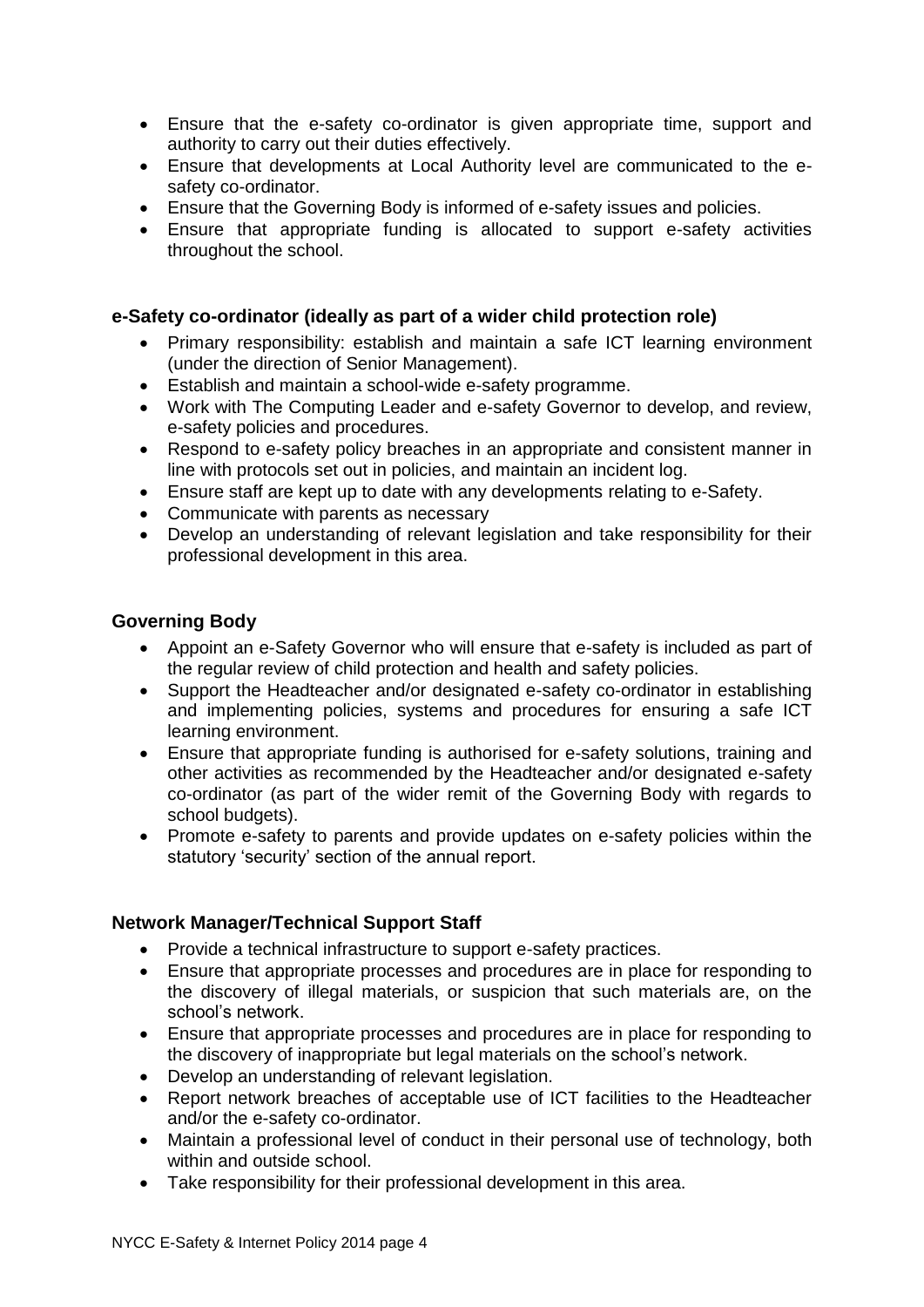- Ensure that the e-safety co-ordinator is given appropriate time, support and authority to carry out their duties effectively.
- Ensure that developments at Local Authority level are communicated to the esafety co-ordinator.
- Ensure that the Governing Body is informed of e-safety issues and policies.
- Ensure that appropriate funding is allocated to support e-safety activities throughout the school.

# **e-Safety co-ordinator (ideally as part of a wider child protection role)**

- Primary responsibility: establish and maintain a safe ICT learning environment (under the direction of Senior Management).
- Establish and maintain a school-wide e-safety programme.
- Work with The Computing Leader and e-safety Governor to develop, and review, e-safety policies and procedures.
- Respond to e-safety policy breaches in an appropriate and consistent manner in line with protocols set out in policies, and maintain an incident log.
- Ensure staff are kept up to date with any developments relating to e-Safety.
- Communicate with parents as necessary
- Develop an understanding of relevant legislation and take responsibility for their professional development in this area.

## **Governing Body**

- Appoint an e-Safety Governor who will ensure that e-safety is included as part of the regular review of child protection and health and safety policies.
- Support the Headteacher and/or designated e-safety co-ordinator in establishing and implementing policies, systems and procedures for ensuring a safe ICT learning environment.
- Ensure that appropriate funding is authorised for e-safety solutions, training and other activities as recommended by the Headteacher and/or designated e-safety co-ordinator (as part of the wider remit of the Governing Body with regards to school budgets).
- Promote e-safety to parents and provide updates on e-safety policies within the statutory 'security' section of the annual report.

# **Network Manager/Technical Support Staff**

- Provide a technical infrastructure to support e-safety practices.
- Ensure that appropriate processes and procedures are in place for responding to the discovery of illegal materials, or suspicion that such materials are, on the school's network.
- Ensure that appropriate processes and procedures are in place for responding to the discovery of inappropriate but legal materials on the school's network.
- Develop an understanding of relevant legislation.
- Report network breaches of acceptable use of ICT facilities to the Headteacher and/or the e-safety co-ordinator.
- Maintain a professional level of conduct in their personal use of technology, both within and outside school.
- Take responsibility for their professional development in this area.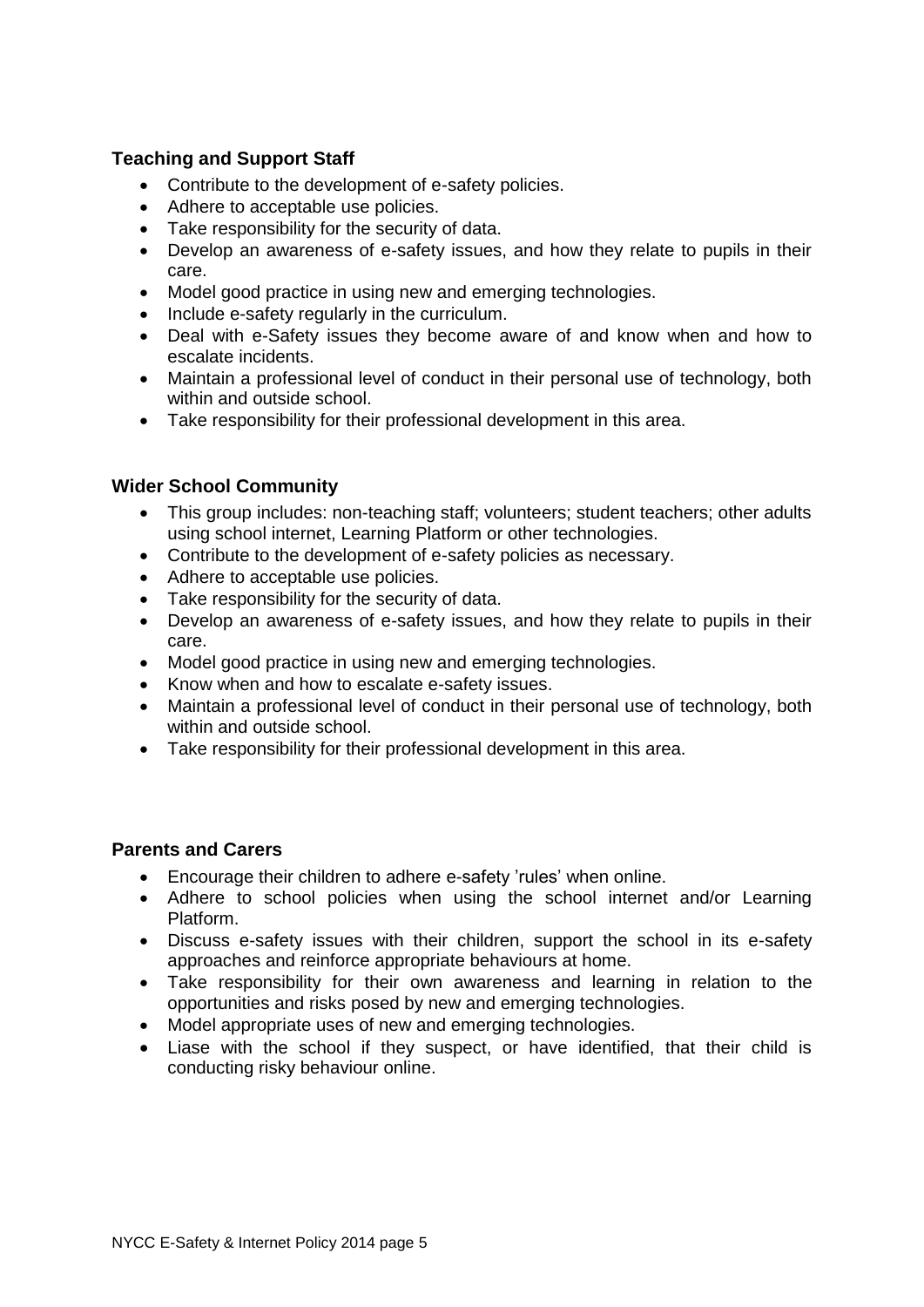# **Teaching and Support Staff**

- Contribute to the development of e-safety policies.
- Adhere to acceptable use policies.
- Take responsibility for the security of data.
- Develop an awareness of e-safety issues, and how they relate to pupils in their care.
- Model good practice in using new and emerging technologies.
- Include e-safety regularly in the curriculum.
- Deal with e-Safety issues they become aware of and know when and how to escalate incidents.
- Maintain a professional level of conduct in their personal use of technology, both within and outside school.
- Take responsibility for their professional development in this area.

# **Wider School Community**

- This group includes: non-teaching staff; volunteers; student teachers; other adults using school internet, Learning Platform or other technologies.
- Contribute to the development of e-safety policies as necessary.
- Adhere to acceptable use policies.
- Take responsibility for the security of data.
- Develop an awareness of e-safety issues, and how they relate to pupils in their care.
- Model good practice in using new and emerging technologies.
- Know when and how to escalate e-safety issues.
- Maintain a professional level of conduct in their personal use of technology, both within and outside school.
- Take responsibility for their professional development in this area.

### **Parents and Carers**

- Encourage their children to adhere e-safety 'rules' when online.
- Adhere to school policies when using the school internet and/or Learning Platform.
- Discuss e-safety issues with their children, support the school in its e-safety approaches and reinforce appropriate behaviours at home.
- Take responsibility for their own awareness and learning in relation to the opportunities and risks posed by new and emerging technologies.
- Model appropriate uses of new and emerging technologies.
- Liase with the school if they suspect, or have identified, that their child is conducting risky behaviour online.